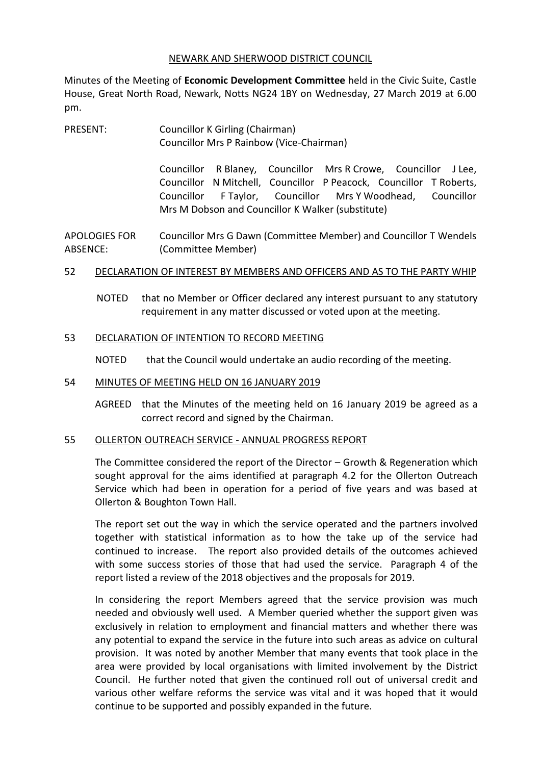#### NEWARK AND SHERWOOD DISTRICT COUNCIL

Minutes of the Meeting of **Economic Development Committee** held in the Civic Suite, Castle House, Great North Road, Newark, Notts NG24 1BY on Wednesday, 27 March 2019 at 6.00 pm.

PRESENT: Councillor K Girling (Chairman) Councillor Mrs P Rainbow (Vice-Chairman)

> Councillor R Blaney, Councillor Mrs R Crowe, Councillor J Lee, Councillor N Mitchell, Councillor P Peacock, Councillor T Roberts, Councillor F Taylor, Councillor Mrs Y Woodhead, Councillor Mrs M Dobson and Councillor K Walker (substitute)

APOLOGIES FOR ABSENCE: Councillor Mrs G Dawn (Committee Member) and Councillor T Wendels (Committee Member)

### 52 DECLARATION OF INTEREST BY MEMBERS AND OFFICERS AND AS TO THE PARTY WHIP

NOTED that no Member or Officer declared any interest pursuant to any statutory requirement in any matter discussed or voted upon at the meeting.

# 53 DECLARATION OF INTENTION TO RECORD MEETING

NOTED that the Council would undertake an audio recording of the meeting.

# 54 MINUTES OF MEETING HELD ON 16 JANUARY 2019

AGREED that the Minutes of the meeting held on 16 January 2019 be agreed as a correct record and signed by the Chairman.

### 55 OLLERTON OUTREACH SERVICE - ANNUAL PROGRESS REPORT

The Committee considered the report of the Director – Growth & Regeneration which sought approval for the aims identified at paragraph 4.2 for the Ollerton Outreach Service which had been in operation for a period of five years and was based at Ollerton & Boughton Town Hall.

The report set out the way in which the service operated and the partners involved together with statistical information as to how the take up of the service had continued to increase. The report also provided details of the outcomes achieved with some success stories of those that had used the service. Paragraph 4 of the report listed a review of the 2018 objectives and the proposals for 2019.

In considering the report Members agreed that the service provision was much needed and obviously well used. A Member queried whether the support given was exclusively in relation to employment and financial matters and whether there was any potential to expand the service in the future into such areas as advice on cultural provision. It was noted by another Member that many events that took place in the area were provided by local organisations with limited involvement by the District Council. He further noted that given the continued roll out of universal credit and various other welfare reforms the service was vital and it was hoped that it would continue to be supported and possibly expanded in the future.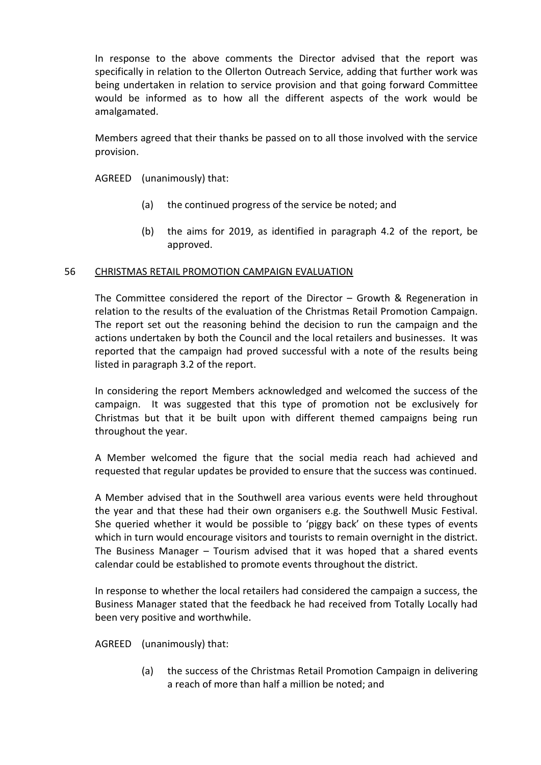In response to the above comments the Director advised that the report was specifically in relation to the Ollerton Outreach Service, adding that further work was being undertaken in relation to service provision and that going forward Committee would be informed as to how all the different aspects of the work would be amalgamated.

Members agreed that their thanks be passed on to all those involved with the service provision.

AGREED (unanimously) that:

- (a) the continued progress of the service be noted; and
- (b) the aims for 2019, as identified in paragraph 4.2 of the report, be approved.

### 56 CHRISTMAS RETAIL PROMOTION CAMPAIGN EVALUATION

The Committee considered the report of the Director – Growth & Regeneration in relation to the results of the evaluation of the Christmas Retail Promotion Campaign. The report set out the reasoning behind the decision to run the campaign and the actions undertaken by both the Council and the local retailers and businesses. It was reported that the campaign had proved successful with a note of the results being listed in paragraph 3.2 of the report.

In considering the report Members acknowledged and welcomed the success of the campaign. It was suggested that this type of promotion not be exclusively for Christmas but that it be built upon with different themed campaigns being run throughout the year.

A Member welcomed the figure that the social media reach had achieved and requested that regular updates be provided to ensure that the success was continued.

A Member advised that in the Southwell area various events were held throughout the year and that these had their own organisers e.g. the Southwell Music Festival. She queried whether it would be possible to 'piggy back' on these types of events which in turn would encourage visitors and tourists to remain overnight in the district. The Business Manager – Tourism advised that it was hoped that a shared events calendar could be established to promote events throughout the district.

In response to whether the local retailers had considered the campaign a success, the Business Manager stated that the feedback he had received from Totally Locally had been very positive and worthwhile.

AGREED (unanimously) that:

(a) the success of the Christmas Retail Promotion Campaign in delivering a reach of more than half a million be noted; and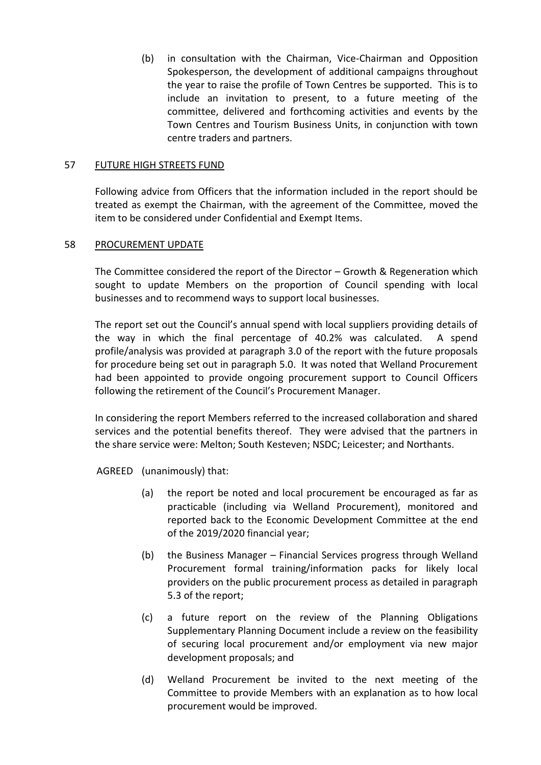(b) in consultation with the Chairman, Vice-Chairman and Opposition Spokesperson, the development of additional campaigns throughout the year to raise the profile of Town Centres be supported. This is to include an invitation to present, to a future meeting of the committee, delivered and forthcoming activities and events by the Town Centres and Tourism Business Units, in conjunction with town centre traders and partners.

### 57 FUTURE HIGH STREETS FUND

Following advice from Officers that the information included in the report should be treated as exempt the Chairman, with the agreement of the Committee, moved the item to be considered under Confidential and Exempt Items.

#### 58 PROCUREMENT UPDATE

The Committee considered the report of the Director – Growth & Regeneration which sought to update Members on the proportion of Council spending with local businesses and to recommend ways to support local businesses.

The report set out the Council's annual spend with local suppliers providing details of the way in which the final percentage of 40.2% was calculated. A spend profile/analysis was provided at paragraph 3.0 of the report with the future proposals for procedure being set out in paragraph 5.0. It was noted that Welland Procurement had been appointed to provide ongoing procurement support to Council Officers following the retirement of the Council's Procurement Manager.

In considering the report Members referred to the increased collaboration and shared services and the potential benefits thereof. They were advised that the partners in the share service were: Melton; South Kesteven; NSDC; Leicester; and Northants.

AGREED (unanimously) that:

- (a) the report be noted and local procurement be encouraged as far as practicable (including via Welland Procurement), monitored and reported back to the Economic Development Committee at the end of the 2019/2020 financial year;
- (b) the Business Manager Financial Services progress through Welland Procurement formal training/information packs for likely local providers on the public procurement process as detailed in paragraph 5.3 of the report;
- (c) a future report on the review of the Planning Obligations Supplementary Planning Document include a review on the feasibility of securing local procurement and/or employment via new major development proposals; and
- (d) Welland Procurement be invited to the next meeting of the Committee to provide Members with an explanation as to how local procurement would be improved.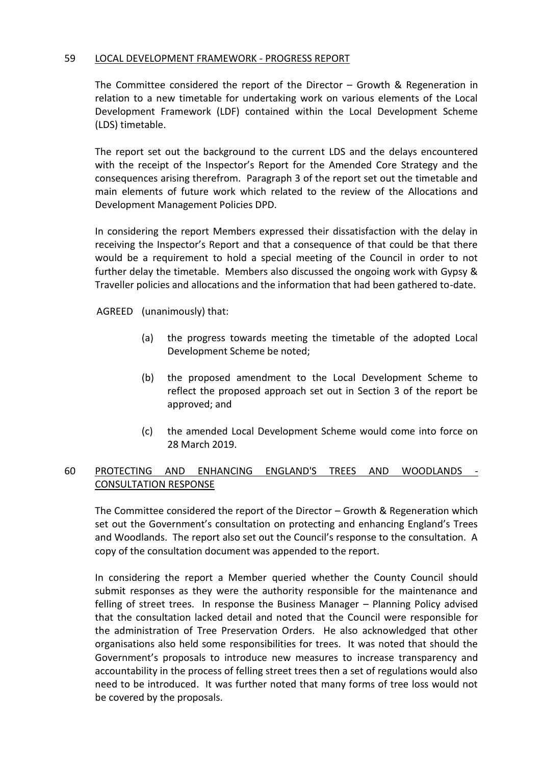### 59 LOCAL DEVELOPMENT FRAMEWORK - PROGRESS REPORT

The Committee considered the report of the Director – Growth & Regeneration in relation to a new timetable for undertaking work on various elements of the Local Development Framework (LDF) contained within the Local Development Scheme (LDS) timetable.

The report set out the background to the current LDS and the delays encountered with the receipt of the Inspector's Report for the Amended Core Strategy and the consequences arising therefrom. Paragraph 3 of the report set out the timetable and main elements of future work which related to the review of the Allocations and Development Management Policies DPD.

In considering the report Members expressed their dissatisfaction with the delay in receiving the Inspector's Report and that a consequence of that could be that there would be a requirement to hold a special meeting of the Council in order to not further delay the timetable. Members also discussed the ongoing work with Gypsy & Traveller policies and allocations and the information that had been gathered to-date.

AGREED (unanimously) that:

- (a) the progress towards meeting the timetable of the adopted Local Development Scheme be noted;
- (b) the proposed amendment to the Local Development Scheme to reflect the proposed approach set out in Section 3 of the report be approved; and
- (c) the amended Local Development Scheme would come into force on 28 March 2019.

# 60 PROTECTING AND ENHANCING ENGLAND'S TREES AND WOODLANDS - CONSULTATION RESPONSE

The Committee considered the report of the Director – Growth & Regeneration which set out the Government's consultation on protecting and enhancing England's Trees and Woodlands. The report also set out the Council's response to the consultation. A copy of the consultation document was appended to the report.

In considering the report a Member queried whether the County Council should submit responses as they were the authority responsible for the maintenance and felling of street trees. In response the Business Manager – Planning Policy advised that the consultation lacked detail and noted that the Council were responsible for the administration of Tree Preservation Orders. He also acknowledged that other organisations also held some responsibilities for trees. It was noted that should the Government's proposals to introduce new measures to increase transparency and accountability in the process of felling street trees then a set of regulations would also need to be introduced. It was further noted that many forms of tree loss would not be covered by the proposals.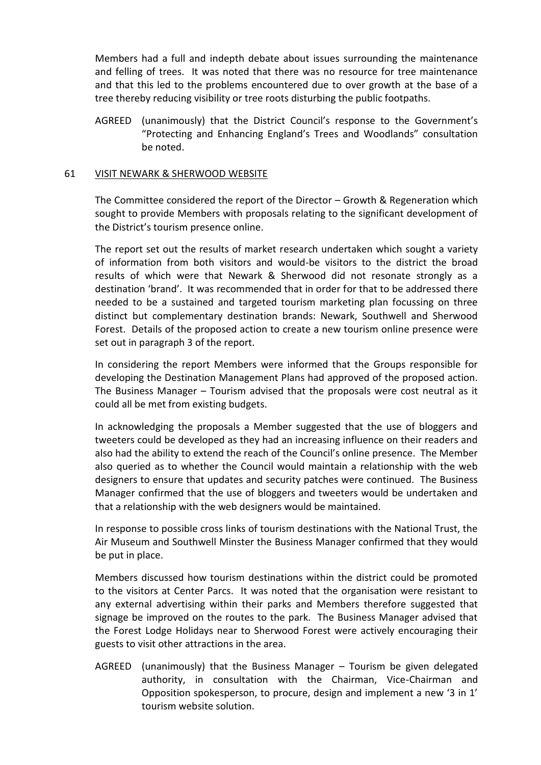Members had a full and indepth debate about issues surrounding the maintenance and felling of trees. It was noted that there was no resource for tree maintenance and that this led to the problems encountered due to over growth at the base of a tree thereby reducing visibility or tree roots disturbing the public footpaths.

AGREED (unanimously) that the District Council's response to the Government's "Protecting and Enhancing England's Trees and Woodlands" consultation be noted.

#### 61 VISIT NEWARK & SHERWOOD WEBSITE

The Committee considered the report of the Director – Growth & Regeneration which sought to provide Members with proposals relating to the significant development of the District's tourism presence online.

The report set out the results of market research undertaken which sought a variety of information from both visitors and would-be visitors to the district the broad results of which were that Newark & Sherwood did not resonate strongly as a destination 'brand'. It was recommended that in order for that to be addressed there needed to be a sustained and targeted tourism marketing plan focussing on three distinct but complementary destination brands: Newark, Southwell and Sherwood Forest. Details of the proposed action to create a new tourism online presence were set out in paragraph 3 of the report.

In considering the report Members were informed that the Groups responsible for developing the Destination Management Plans had approved of the proposed action. The Business Manager – Tourism advised that the proposals were cost neutral as it could all be met from existing budgets.

In acknowledging the proposals a Member suggested that the use of bloggers and tweeters could be developed as they had an increasing influence on their readers and also had the ability to extend the reach of the Council's online presence. The Member also queried as to whether the Council would maintain a relationship with the web designers to ensure that updates and security patches were continued. The Business Manager confirmed that the use of bloggers and tweeters would be undertaken and that a relationship with the web designers would be maintained.

In response to possible cross links of tourism destinations with the National Trust, the Air Museum and Southwell Minster the Business Manager confirmed that they would be put in place.

Members discussed how tourism destinations within the district could be promoted to the visitors at Center Parcs. It was noted that the organisation were resistant to any external advertising within their parks and Members therefore suggested that signage be improved on the routes to the park. The Business Manager advised that the Forest Lodge Holidays near to Sherwood Forest were actively encouraging their guests to visit other attractions in the area.

AGREED (unanimously) that the Business Manager – Tourism be given delegated authority, in consultation with the Chairman, Vice-Chairman and Opposition spokesperson, to procure, design and implement a new '3 in 1' tourism website solution.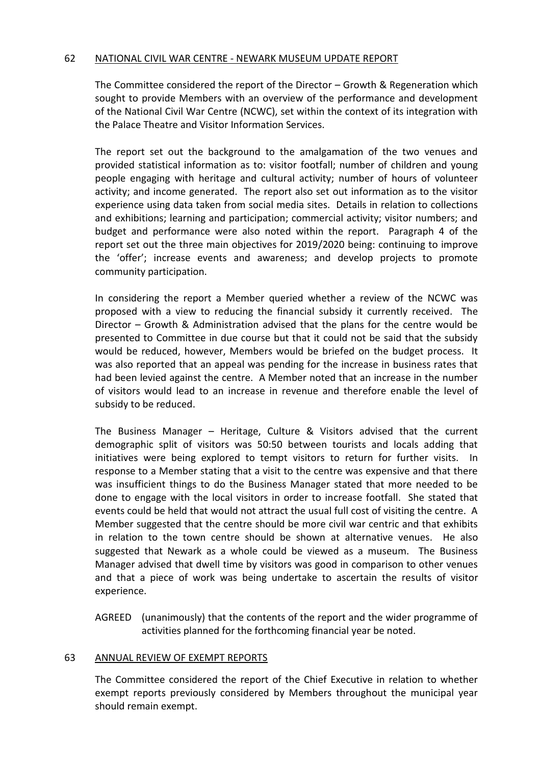### 62 NATIONAL CIVIL WAR CENTRE - NEWARK MUSEUM UPDATE REPORT

The Committee considered the report of the Director – Growth & Regeneration which sought to provide Members with an overview of the performance and development of the National Civil War Centre (NCWC), set within the context of its integration with the Palace Theatre and Visitor Information Services.

The report set out the background to the amalgamation of the two venues and provided statistical information as to: visitor footfall; number of children and young people engaging with heritage and cultural activity; number of hours of volunteer activity; and income generated. The report also set out information as to the visitor experience using data taken from social media sites. Details in relation to collections and exhibitions; learning and participation; commercial activity; visitor numbers; and budget and performance were also noted within the report. Paragraph 4 of the report set out the three main objectives for 2019/2020 being: continuing to improve the 'offer'; increase events and awareness; and develop projects to promote community participation.

In considering the report a Member queried whether a review of the NCWC was proposed with a view to reducing the financial subsidy it currently received. The Director – Growth & Administration advised that the plans for the centre would be presented to Committee in due course but that it could not be said that the subsidy would be reduced, however, Members would be briefed on the budget process. It was also reported that an appeal was pending for the increase in business rates that had been levied against the centre. A Member noted that an increase in the number of visitors would lead to an increase in revenue and therefore enable the level of subsidy to be reduced.

The Business Manager – Heritage, Culture & Visitors advised that the current demographic split of visitors was 50:50 between tourists and locals adding that initiatives were being explored to tempt visitors to return for further visits. In response to a Member stating that a visit to the centre was expensive and that there was insufficient things to do the Business Manager stated that more needed to be done to engage with the local visitors in order to increase footfall. She stated that events could be held that would not attract the usual full cost of visiting the centre. A Member suggested that the centre should be more civil war centric and that exhibits in relation to the town centre should be shown at alternative venues. He also suggested that Newark as a whole could be viewed as a museum. The Business Manager advised that dwell time by visitors was good in comparison to other venues and that a piece of work was being undertake to ascertain the results of visitor experience.

AGREED (unanimously) that the contents of the report and the wider programme of activities planned for the forthcoming financial year be noted.

#### 63 ANNUAL REVIEW OF EXEMPT REPORTS

The Committee considered the report of the Chief Executive in relation to whether exempt reports previously considered by Members throughout the municipal year should remain exempt.